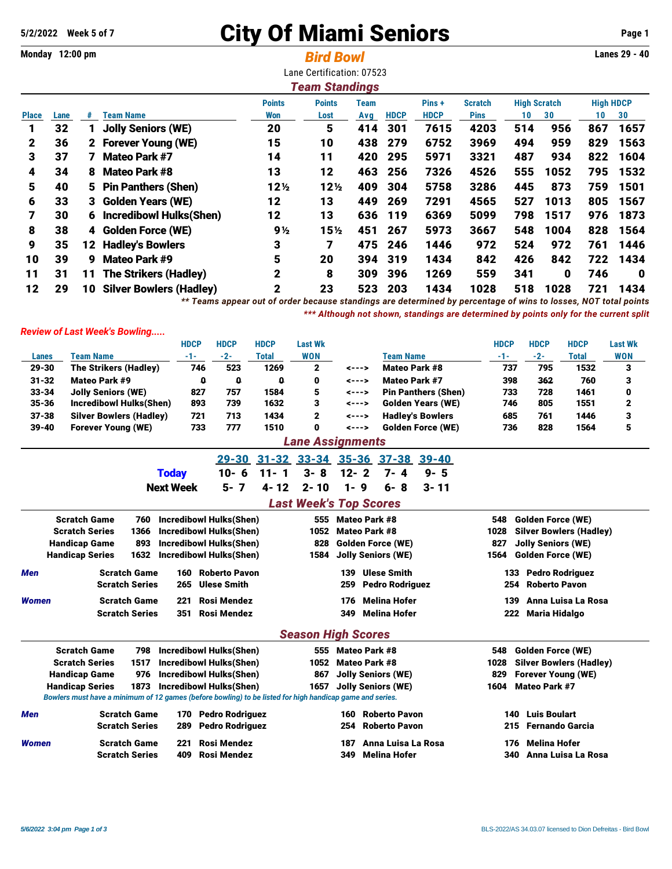## **5/2/2022 Week 5 of 7** City Of Miami Seniors **Page 1**

**Monday 12:00 pm** *Bird Bowl* **Lanes 29 - 40** Lane Certification: 07523 *Team Standings*

|      |    |                                | <b>Points</b>                                                                                                                | <b>Points</b>   | Team |             | Pins+                      | <b>Scratch</b> | <b>High Scratch</b> |      |     |                  |
|------|----|--------------------------------|------------------------------------------------------------------------------------------------------------------------------|-----------------|------|-------------|----------------------------|----------------|---------------------|------|-----|------------------|
| Lane | #  | <b>Team Name</b>               | Won                                                                                                                          | Lost            | Avg  | <b>HDCP</b> | <b>HDCP</b>                | <b>Pins</b>    | 10                  | 30   | 10  | 30               |
| 32   |    | <b>Jolly Seniors (WE)</b>      | 20                                                                                                                           | 5               | 414  | 301         | 7615                       | 4203           | 514                 | 956  | 867 | 1657             |
| 36   |    |                                | 15                                                                                                                           | 10              | 438  | 279         | 6752                       | 3969           | 494                 | 959  | 829 | 1563             |
| 37   | 7  | <b>Mateo Park #7</b>           | 14                                                                                                                           | 11              | 420  | 295         | 5971                       | 3321           | 487                 | 934  | 822 | 1604             |
| 34   | 8  | <b>Mateo Park #8</b>           | 13                                                                                                                           | 12              | 463  | 256         | 7326                       | 4526           | 555                 | 1052 | 795 | 1532             |
| 40   |    |                                | 12 <sub>2</sub>                                                                                                              | 12 <sub>2</sub> | 409  | 304         | 5758                       | 3286           | 445                 | 873  | 759 | 1501             |
| 33   |    |                                | 12                                                                                                                           | 13              | 449  | 269         | 7291                       | 4565           | 527                 | 1013 | 805 | 1567             |
| 30   | 6  | Incredibowl Hulks(Shen)        | 12                                                                                                                           | 13              |      |             | 6369                       | 5099           | 798                 | 1517 | 976 | 1873             |
| 38   |    |                                | 9½                                                                                                                           | 15 <sub>2</sub> | 451  | 267         | 5973                       | 3667           | 548                 | 1004 | 828 | 1564             |
| 35   |    |                                | 3                                                                                                                            | 7               | 475  | 246         | 1446                       | 972            | 524                 | 972  | 761 | 1446             |
| 39   | 9  | Mateo Park #9                  | 5                                                                                                                            | 20              |      |             | 1434                       | 842            | 426                 | 842  | 722 | 1434             |
| 31   | 11 | <b>The Strikers (Hadley)</b>   | $\mathbf 2$                                                                                                                  | 8               | 309  | 396         | 1269                       | 559            | 341                 | 0    | 746 | 0                |
| 29   | 10 | <b>Silver Bowlers (Hadley)</b> | $\mathbf 2$                                                                                                                  | 23              | 523  | 203         | 1434                       | 1028           | 518                 | 1028 | 721 | 1434             |
|      |    |                                | 2 Forever Young (WE)<br>5 Pin Panthers (Shen)<br>3 Golden Years (WE)<br>4 Golden Force (WE)<br><b>Hadley's Bowlers</b><br>12 |                 |      |             | 636<br>- 119<br>319<br>394 |                |                     |      |     | <b>High HDCP</b> |

*\*\* Teams appear out of order because standings are determined by percentage of wins to losses, NOT total points \*\*\* Although not shown, standings are determined by points only for the current split*

## *Review of Last Week's Bowling.....*

|                                |                                                                                                          | <b>HDCP</b><br><b>HDCP</b>     | <b>HDCP</b>                       | <b>Last Wk</b>                |                      |                                      | <b>HDCP</b>                            | <b>HDCP</b>               | <b>HDCP</b>                    | <b>Last Wk</b> |  |
|--------------------------------|----------------------------------------------------------------------------------------------------------|--------------------------------|-----------------------------------|-------------------------------|----------------------|--------------------------------------|----------------------------------------|---------------------------|--------------------------------|----------------|--|
| Lanes                          | <b>Team Name</b>                                                                                         | $-2-$<br>$-1-$                 | <b>Total</b>                      | <b>WON</b>                    |                      | <b>Team Name</b>                     | $-1-$                                  | $-2-$                     | <b>Total</b>                   | <b>WON</b>     |  |
| 29-30                          | <b>The Strikers (Hadley)</b>                                                                             | 523<br>746                     | 1269                              | $\mathbf{2}$                  | <--->                | <b>Mateo Park #8</b>                 | 737                                    | 795                       | 1532                           | 3              |  |
| $31 - 32$                      | Mateo Park #9                                                                                            | 0<br>0                         | $\Omega$                          | 0                             | <--->                | <b>Mateo Park #7</b>                 | 398                                    | 362                       | 760                            | 3              |  |
| $33 - 34$                      | <b>Jolly Seniors (WE)</b>                                                                                | 827<br>757                     | 1584                              | 5                             | <--->                | <b>Pin Panthers (Shen)</b>           | 733                                    | 728                       | 1461                           | 0              |  |
| $35 - 36$                      | <b>Incredibowl Hulks(Shen)</b>                                                                           | 893<br>739                     | 1632                              | 3                             | <--->                | <b>Golden Years (WE)</b>             | 746                                    | 805                       | 1551                           | 2              |  |
| $37 - 38$                      | <b>Silver Bowlers (Hadley)</b>                                                                           | 721<br>713                     | 1434                              | $\mathbf{2}$                  | <--->                | <b>Hadley's Bowlers</b>              | 685                                    | 761                       | 1446                           | 3              |  |
| $39 - 40$                      | <b>Forever Young (WE)</b>                                                                                | 733<br>777                     | 1510                              | $\bf{0}$                      | <--->                | <b>Golden Force (WE)</b>             | 736                                    | 828                       | 1564                           | 5              |  |
|                                |                                                                                                          |                                |                                   | <b>Lane Assignments</b>       |                      |                                      |                                        |                           |                                |                |  |
|                                |                                                                                                          | $29 - 30$                      |                                   |                               |                      | 31-32 33-34 35-36 37-38<br>$39 - 40$ |                                        |                           |                                |                |  |
|                                |                                                                                                          | $10 - 6$<br><b>Today</b>       | $11 - 1$                          | $3 - 8$                       | $12 - 2$             | $7 - 4$<br>$9 - 5$                   |                                        |                           |                                |                |  |
|                                |                                                                                                          | $5 - 7$<br><b>Next Week</b>    | $4 - 12$                          | $2 - 10$                      | $1 - 9$              | $6 - 8$<br>$3 - 11$                  |                                        |                           |                                |                |  |
|                                |                                                                                                          |                                |                                   | <b>Last Week's Top Scores</b> |                      |                                      |                                        |                           |                                |                |  |
|                                | <b>Scratch Game</b><br>760                                                                               | <b>Incredibowl Hulks(Shen)</b> |                                   | 555                           | <b>Mateo Park #8</b> |                                      | 548                                    | <b>Golden Force (WE)</b>  |                                |                |  |
|                                | <b>Scratch Series</b><br>1366                                                                            | <b>Incredibowl Hulks(Shen)</b> |                                   | 1052                          | <b>Mateo Park #8</b> |                                      | 1028<br><b>Silver Bowlers (Hadley)</b> |                           |                                |                |  |
| <b>Handicap Game</b><br>893    |                                                                                                          | <b>Incredibowl Hulks(Shen)</b> |                                   | 828                           |                      | <b>Golden Force (WE)</b>             | 827<br><b>Jolly Seniors (WE)</b>       |                           |                                |                |  |
| 1632<br><b>Handicap Series</b> |                                                                                                          | <b>Incredibowl Hulks(Shen)</b> | <b>Jolly Seniors (WE)</b><br>1584 |                               |                      |                                      | <b>Golden Force (WE)</b><br>1564       |                           |                                |                |  |
| <b>Men</b>                     | <b>Scratch Game</b>                                                                                      | <b>Roberto Pavon</b><br>160    |                                   |                               | 139                  | <b>Ulese Smith</b>                   | 133                                    |                           | <b>Pedro Rodriguez</b>         |                |  |
|                                | <b>Scratch Series</b>                                                                                    | <b>Ulese Smith</b><br>265      |                                   |                               | 259                  | <b>Pedro Rodriguez</b>               | 254                                    | <b>Roberto Pavon</b>      |                                |                |  |
| <b>Women</b>                   | <b>Scratch Game</b>                                                                                      | Rosi Mendez<br>221             |                                   |                               | 176                  | <b>Melina Hofer</b>                  | 139                                    |                           | Anna Luisa La Rosa             |                |  |
|                                | <b>Scratch Series</b>                                                                                    | <b>Rosi Mendez</b><br>351      |                                   |                               | 349                  | <b>Melina Hofer</b>                  | 222                                    | <b>Maria Hidalgo</b>      |                                |                |  |
|                                |                                                                                                          |                                |                                   | <b>Season High Scores</b>     |                      |                                      |                                        |                           |                                |                |  |
|                                | <b>Scratch Game</b><br>798                                                                               | <b>Incredibowl Hulks(Shen)</b> |                                   | 555                           | <b>Mateo Park #8</b> |                                      | 548                                    | <b>Golden Force (WE)</b>  |                                |                |  |
|                                | <b>Scratch Series</b><br>1517                                                                            | <b>Incredibowl Hulks(Shen)</b> |                                   | 1052                          | <b>Mateo Park #8</b> |                                      | 1028                                   |                           | <b>Silver Bowlers (Hadley)</b> |                |  |
|                                | 976<br><b>Handicap Game</b>                                                                              | <b>Incredibowl Hulks(Shen)</b> |                                   | 867                           |                      | <b>Jolly Seniors (WE)</b>            | 829                                    | <b>Forever Young (WE)</b> |                                |                |  |
|                                | <b>Handicap Series</b><br>1873                                                                           | <b>Incredibowl Hulks(Shen)</b> |                                   | 1657                          |                      | <b>Jolly Seniors (WE)</b>            | 1604                                   | <b>Mateo Park #7</b>      |                                |                |  |
|                                | Bowlers must have a minimum of 12 games (before bowling) to be listed for high handicap game and series. |                                |                                   |                               |                      |                                      |                                        |                           |                                |                |  |
| Men                            | <b>Scratch Game</b>                                                                                      | <b>Pedro Rodriguez</b><br>170  |                                   |                               | 160                  | <b>Roberto Pavon</b>                 | 140                                    | <b>Luis Boulart</b>       |                                |                |  |
|                                | <b>Scratch Series</b>                                                                                    | <b>Pedro Rodriguez</b><br>289  |                                   |                               | 254                  | <b>Roberto Pavon</b>                 | 215                                    |                           | <b>Fernando Garcia</b>         |                |  |
| <b>Women</b>                   | <b>Scratch Game</b>                                                                                      | <b>Rosi Mendez</b><br>221      |                                   |                               | 187                  | Anna Luisa La Rosa                   | 176                                    | <b>Melina Hofer</b>       |                                |                |  |
|                                | <b>Scratch Series</b>                                                                                    | <b>Rosi Mendez</b><br>409      |                                   |                               | 349                  | <b>Melina Hofer</b>                  | 340                                    |                           | Anna Luisa La Rosa             |                |  |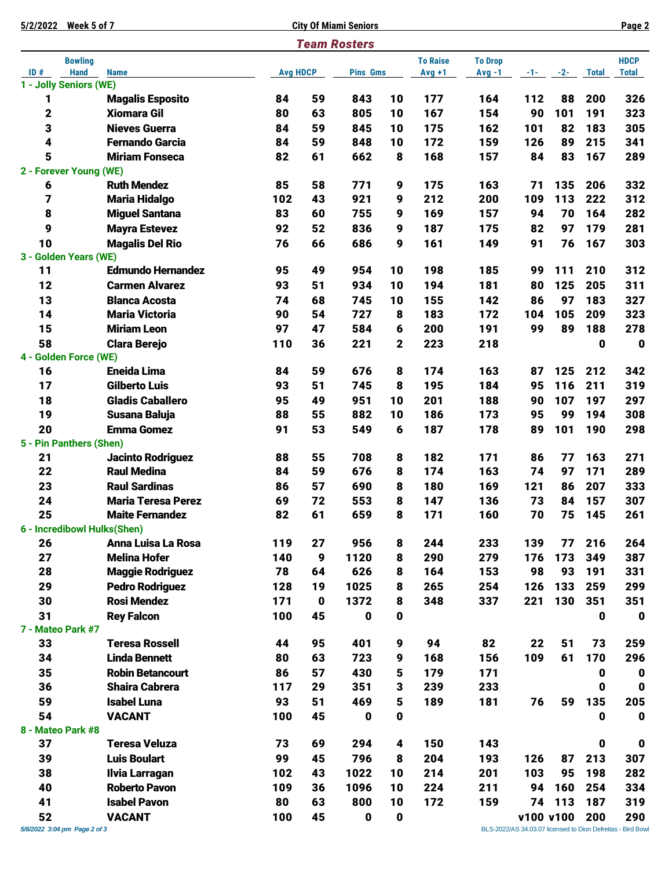| Week 5 of 7<br>5/2/2022      |                                                |                 |             | <b>City Of Miami Seniors</b> |             |                 |                |            |          |              | Page 2                                                      |
|------------------------------|------------------------------------------------|-----------------|-------------|------------------------------|-------------|-----------------|----------------|------------|----------|--------------|-------------------------------------------------------------|
|                              |                                                |                 |             | <b>Team Rosters</b>          |             |                 |                |            |          |              |                                                             |
| <b>Bowling</b>               |                                                |                 |             |                              |             | <b>To Raise</b> | <b>To Drop</b> |            |          |              | <b>HDCP</b>                                                 |
| ID#<br><b>Hand</b>           | <b>Name</b>                                    | <b>Avg HDCP</b> |             | <b>Pins Gms</b>              |             | $Avg +1$        | $Avg -1$       | $-1 - 1$   | $-2-$    | <b>Total</b> | <b>Total</b>                                                |
| 1 - Jolly Seniors (WE)       |                                                |                 |             |                              |             |                 |                |            |          |              |                                                             |
| 1                            | <b>Magalis Esposito</b>                        | 84              | 59          | 843                          | 10          | 177             | 164            | 112        | 88       | 200          | 326                                                         |
| $\mathbf 2$                  | <b>Xiomara Gil</b>                             | 80              | 63          | 805                          | 10          | 167             | 154            | 90         | 101      | 191          | 323                                                         |
| 3<br>4                       | <b>Nieves Guerra</b><br><b>Fernando Garcia</b> | 84<br>84        | 59<br>59    | 845<br>848                   | 10<br>10    | 175<br>172      | 162<br>159     | 101<br>126 | 82<br>89 | 183<br>215   | 305<br>341                                                  |
| 5                            | <b>Miriam Fonseca</b>                          | 82              | 61          | 662                          |             | 168             |                | 84         | 83       | 167          | 289                                                         |
| 2 - Forever Young (WE)       |                                                |                 |             |                              | 8           |                 | 157            |            |          |              |                                                             |
| 6                            | <b>Ruth Mendez</b>                             | 85              | 58          | 771                          | 9           | 175             | 163            | 71         | 135      | 206          | 332                                                         |
| 7                            | <b>Maria Hidalgo</b>                           | 102             | 43          | 921                          | 9           | 212             | 200            | 109        | 113      | 222          | 312                                                         |
| 8                            | <b>Miguel Santana</b>                          | 83              | 60          | 755                          | 9           | 169             | 157            | 94         | 70       | 164          | 282                                                         |
| 9                            | <b>Mayra Estevez</b>                           | 92              | 52          | 836                          | 9           | 187             | 175            | 82         | 97       | 179          | 281                                                         |
| 10                           | <b>Magalis Del Rio</b>                         | 76              | 66          | 686                          | 9           | 161             | 149            | 91         | 76       | 167          | 303                                                         |
| 3 - Golden Years (WE)        |                                                |                 |             |                              |             |                 |                |            |          |              |                                                             |
| 11                           | <b>Edmundo Hernandez</b>                       | 95              | 49          | 954                          | 10          | 198             | 185            | 99         | 111      | 210          | 312                                                         |
| 12                           | <b>Carmen Alvarez</b>                          | 93              | 51          | 934                          | 10          | 194             | 181            | 80         | 125      | 205          | 311                                                         |
| 13                           | <b>Blanca Acosta</b>                           | 74              | 68          | 745                          | 10          | 155             | 142            | 86         | 97       | 183          | 327                                                         |
| 14                           | <b>Maria Victoria</b>                          | 90              | 54          | 727                          | 8           | 183             | 172            | 104        | 105      | 209          | 323                                                         |
| 15                           | <b>Miriam Leon</b>                             | 97              | 47          | 584                          | 6           | 200             | 191            | 99         | 89       | 188          | 278                                                         |
| 58                           | <b>Clara Berejo</b>                            | 110             | 36          | 221                          | $\mathbf 2$ | 223             | 218            |            |          | 0            | $\mathbf 0$                                                 |
| 4 - Golden Force (WE)        |                                                |                 |             |                              |             |                 |                |            |          |              |                                                             |
| 16                           | <b>Eneida Lima</b>                             | 84              | 59          | 676                          | 8           | 174             | 163            | 87         | 125      | 212          | 342                                                         |
| 17                           | <b>Gilberto Luis</b>                           | 93              | 51          | 745                          | 8           | 195             | 184            | 95         | 116      | 211          | 319                                                         |
| 18                           | <b>Gladis Caballero</b>                        | 95              | 49          | 951                          | 10          | 201             | 188            | 90         | 107      | 197          | 297                                                         |
| 19                           | Susana Baluja                                  | 88              | 55          | 882                          | 10          | 186             | 173            | 95         | 99       | 194          | 308                                                         |
| 20                           | <b>Emma Gomez</b>                              | 91              | 53          | 549                          | 6           | 187             | 178            | 89         | 101      | 190          | 298                                                         |
| 5 - Pin Panthers (Shen)      |                                                |                 |             |                              |             |                 |                |            |          |              |                                                             |
| 21                           | <b>Jacinto Rodriguez</b>                       | 88              | 55          | 708                          | 8           | 182             | 171            | 86         | 77       | 163          | 271                                                         |
| 22                           | <b>Raul Medina</b>                             | 84              | 59          | 676                          | 8           | 174             | 163            | 74         | 97       | 171          | 289                                                         |
| 23                           | <b>Raul Sardinas</b>                           | 86              | 57          | 690                          | 8           | 180             | 169            | 121        | 86       | 207          | 333                                                         |
| 24                           | <b>Maria Teresa Perez</b>                      | 69              | 72          | 553                          | 8           | 147             | 136            | 73         | 84       | 157          | 307                                                         |
| 25                           | <b>Maite Fernandez</b>                         | 82              | 61          | 659                          | 8           | 171             | 160            | 70         | 75       | 145          | 261                                                         |
| 6 - Incredibowl Hulks(Shen)  |                                                |                 |             |                              |             |                 |                |            |          |              |                                                             |
| 26                           | <b>Anna Luisa La Rosa</b>                      | 119             | 27          | 956                          | 8           | 244             | 233            | 139        | 77       | 216          | 264                                                         |
| 27                           | <b>Melina Hofer</b>                            | 140             | 9           | 1120                         | 8           | 290             | 279            | 176        | 173      | 349          | 387                                                         |
| 28                           | <b>Maggie Rodriguez</b>                        | 78              | 64          | 626                          | 8           | 164             | 153            | 98         | 93       | 191          | 331                                                         |
| 29                           | <b>Pedro Rodriguez</b>                         | 128             | 19          | 1025                         | 8           | 265             | 254            | 126        | 133      | 259          | 299                                                         |
| 30                           | <b>Rosi Mendez</b>                             | 171             | $\mathbf 0$ | 1372                         | 8           | 348             | 337            | 221        | 130      | 351          | 351                                                         |
| 31                           | <b>Rey Falcon</b>                              | 100             | 45          | 0                            | 0           |                 |                |            |          | 0            | $\mathbf 0$                                                 |
| 7 - Mateo Park #7            |                                                |                 |             |                              |             |                 |                |            |          |              |                                                             |
| 33                           | <b>Teresa Rossell</b>                          | 44              | 95          | 401                          | 9           | 94              | 82             | 22         | 51       | 73           | 259                                                         |
| 34                           | <b>Linda Bennett</b>                           | 80              | 63          | 723                          | 9           | 168             | 156            | 109        | 61       | 170          | 296                                                         |
| 35                           | <b>Robin Betancourt</b>                        | 86              | 57          | 430                          | 5           | 179             | 171            |            |          | 0            | $\mathbf 0$                                                 |
| 36                           | <b>Shaira Cabrera</b>                          | 117             | 29          | 351                          | 3           | 239             | 233            |            |          | 0            | $\mathbf 0$                                                 |
| 59                           | <b>Isabel Luna</b>                             | 93              | 51          | 469                          | 5           | 189             | 181            | 76         | 59       | 135          | 205                                                         |
| 54                           | <b>VACANT</b>                                  | 100             | 45          | 0                            | 0           |                 |                |            |          | 0            | $\mathbf 0$                                                 |
| 8 - Mateo Park #8<br>37      | <b>Teresa Veluza</b>                           | 73              | 69          | 294                          | 4           | 150             | 143            |            |          | 0            | $\mathbf 0$                                                 |
| 39                           | <b>Luis Boulart</b>                            | 99              | 45          | 796                          | 8           | 204             | 193            | 126        | 87       | 213          |                                                             |
| 38                           |                                                | 102             | 43          | 1022                         |             | 214             | 201            | 103        | 95       | 198          | 307<br>282                                                  |
| 40                           | <b>Ilvia Larragan</b><br><b>Roberto Pavon</b>  | 109             | 36          | 1096                         | 10<br>10    | 224             | 211            | 94         | 160      | 254          | 334                                                         |
| 41                           | <b>Isabel Pavon</b>                            | 80              | 63          | 800                          | 10          | 172             | 159            | 74         | 113      | 187          | 319                                                         |
| 52                           | <b>VACANT</b>                                  | 100             | 45          | 0                            | 0           |                 |                | v100 v100  |          | 200          | 290                                                         |
| 5/6/2022 3:04 pm Page 2 of 3 |                                                |                 |             |                              |             |                 |                |            |          |              | BLS-2022/AS 34.03.07 licensed to Dion Defreitas - Bird Bowl |